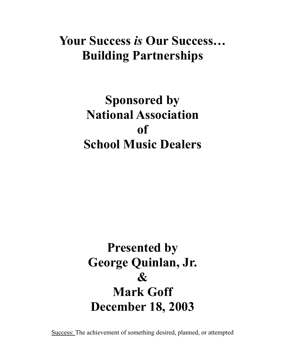### **Your Success** *is* **Our Success… Building Partnerships**

## **Sponsored by National Association of School Music Dealers**

# **Presented by George Quinlan, Jr.**   $\mathcal{R}_{I}$ **Mark Goff December 18, 2003**

Success: The achievement of something desired, planned, or attempted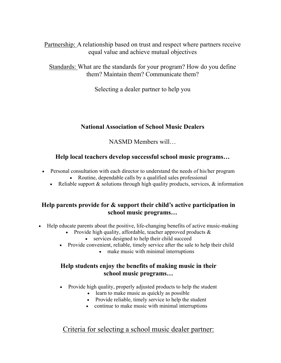Partnership: A relationship based on trust and respect where partners receive equal value and achieve mutual objectives

Standards: What are the standards for your program? How do you define them? Maintain them? Communicate them?

Selecting a dealer partner to help you

#### **National Association of School Music Dealers**

NASMD Members will…

#### **Help local teachers develop successful school music programs…**

- Personal consultation with each director to understand the needs of his/her program
	- Routine, dependable calls by a qualified sales professional
	- Reliable support  $\&$  solutions through high quality products, services,  $\&$  information

#### **Help parents provide for & support their child's active participation in school music programs…**

- Help educate parents about the positive, life-changing benefits of active music-making
	- Provide high quality, affordable, teacher approved products &
		- services designed to help their child succeed
	- Provide convenient, reliable, timely service after the sale to help their child
		- make music with minimal interruptions

#### **Help students enjoy the benefits of making music in their school music programs…**

- Provide high quality, properly adjusted products to help the student
	- learn to make music as quickly as possible
	- Provide reliable, timely service to help the student
	- continue to make music with minimal interruptions

#### Criteria for selecting a school music dealer partner: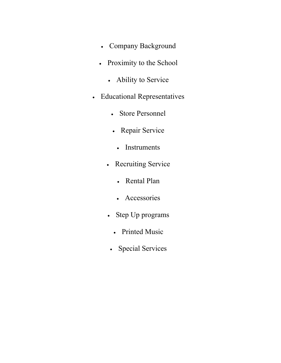- Company Background
- Proximity to the School
	- Ability to Service
- Educational Representatives
	- Store Personnel
	- Repair Service
		- Instruments
	- Recruiting Service
		- Rental Plan
		- Accessories
	- Step Up programs
		- Printed Music
	- Special Services